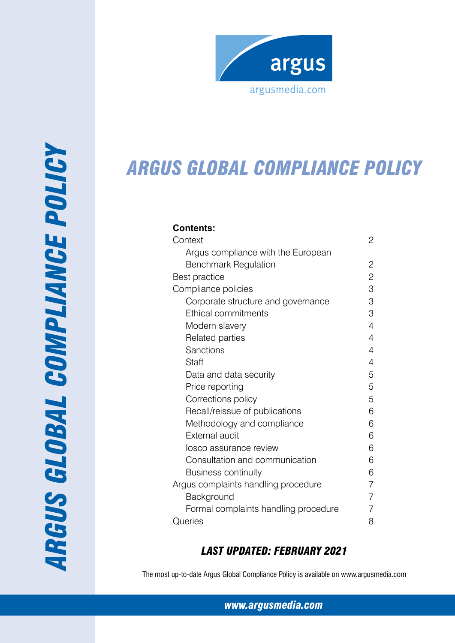

# *ARGUS Global compliance policy*

# **Contents:**

| Context                              | 2              |
|--------------------------------------|----------------|
| Argus compliance with the European   |                |
| <b>Benchmark Regulation</b>          | 2              |
| <b>Best practice</b>                 | $\overline{2}$ |
| Compliance policies                  | 3              |
| Corporate structure and governance   | 3              |
| Ethical commitments                  | 3              |
| Modern slavery                       | 4              |
| Related parties                      | 4              |
| Sanctions                            | 4              |
| Staff                                | 4              |
| Data and data security               | 5              |
| Price reporting                      | 5              |
| Corrections policy                   | 5              |
| Recall/reissue of publications       | 6              |
| Methodology and compliance           | 6              |
| <b>External audit</b>                | 6              |
| losco assurance review               | 6              |
| Consultation and communication       | 6              |
| <b>Business continuity</b>           | 6              |
| Argus complaints handling procedure  | 7              |
| Background                           | 7              |
| Formal complaints handling procedure | 7              |
| Queries                              | 8              |

# *Last Updated: february 2021*

The most up-to-date Argus Global Compliance Policy is available on www.argusmedia.com

*www.argusmedia.com*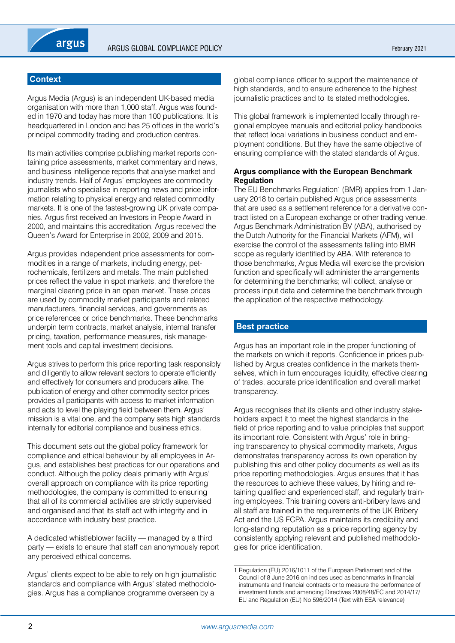# **Context**

Argus Media (Argus) is an independent UK-based media organisation with more than 1,000 staff. Argus was founded in 1970 and today has more than 100 publications. It is headquartered in London and has 25 offices in the world's principal commodity trading and production centres.

Its main activities comprise publishing market reports containing price assessments, market commentary and news, and business intelligence reports that analyse market and industry trends. Half of Argus' employees are commodity journalists who specialise in reporting news and price information relating to physical energy and related commodity markets. It is one of the fastest-growing UK private companies. Argus first received an Investors in People Award in 2000, and maintains this accreditation. Argus received the Queen's Award for Enterprise in 2002, 2009 and 2015.

Argus provides independent price assessments for commodities in a range of markets, including energy, petrochemicals, fertilizers and metals. The main published prices reflect the value in spot markets, and therefore the marginal clearing price in an open market. These prices are used by commodity market participants and related manufacturers, financial services, and governments as price references or price benchmarks. These benchmarks underpin term contracts, market analysis, internal transfer pricing, taxation, performance measures, risk management tools and capital investment decisions.

Argus strives to perform this price reporting task responsibly and diligently to allow relevant sectors to operate efficiently and effectively for consumers and producers alike. The publication of energy and other commodity sector prices provides all participants with access to market information and acts to level the playing field between them. Argus' mission is a vital one, and the company sets high standards internally for editorial compliance and business ethics.

This document sets out the global policy framework for compliance and ethical behaviour by all employees in Argus, and establishes best practices for our operations and conduct. Although the policy deals primarily with Argus' overall approach on compliance with its price reporting methodologies, the company is committed to ensuring that all of its commercial activities are strictly supervised and organised and that its staff act with integrity and in accordance with industry best practice.

A dedicated whistleblower facility — managed by a third party — exists to ensure that staff can anonymously report any perceived ethical concerns.

Argus' clients expect to be able to rely on high journalistic standards and compliance with Argus' stated methodologies. Argus has a compliance programme overseen by a

global compliance officer to support the maintenance of high standards, and to ensure adherence to the highest journalistic practices and to its stated methodologies.

This global framework is implemented locally through regional employee manuals and editorial policy handbooks that reflect local variations in business conduct and employment conditions. But they have the same objective of ensuring compliance with the stated standards of Argus.

### **Argus compliance with the European Benchmark Regulation**

The EU Benchmarks Regulation<sup>1</sup> (BMR) applies from 1 January 2018 to certain published Argus price assessments that are used as a settlement reference for a derivative contract listed on a European exchange or other trading venue. Argus Benchmark Administration BV (ABA), authorised by the Dutch Authority for the Financial Markets (AFM), will exercise the control of the assessments falling into BMR scope as regularly identified by ABA. With reference to those benchmarks, Argus Media will exercise the provision function and specifically will administer the arrangements for determining the benchmarks; will collect, analyse or process input data and determine the benchmark through the application of the respective methodology.

# **Best practice**

Argus has an important role in the proper functioning of the markets on which it reports. Confidence in prices published by Argus creates confidence in the markets themselves, which in turn encourages liquidity, effective clearing of trades, accurate price identification and overall market transparency.

Argus recognises that its clients and other industry stakeholders expect it to meet the highest standards in the field of price reporting and to value principles that support its important role. Consistent with Argus' role in bringing transparency to physical commodity markets, Argus demonstrates transparency across its own operation by publishing this and other policy documents as well as its price reporting methodologies. Argus ensures that it has the resources to achieve these values, by hiring and retaining qualified and experienced staff, and regularly training employees. This training covers anti-bribery laws and all staff are trained in the requirements of the UK Bribery Act and the US FCPA. Argus maintains its credibility and long-standing reputation as a price reporting agency by consistently applying relevant and published methodologies for price identification.

<sup>1</sup> Regulation (EU) 2016/1011 of the European Parliament and of the Council of 8 June 2016 on indices used as benchmarks in financial instruments and financial contracts or to measure the performance of investment funds and amending Directives 2008/48/EC and 2014/17/ EU and Regulation (EU) No 596/2014 (Text with EEA relevance)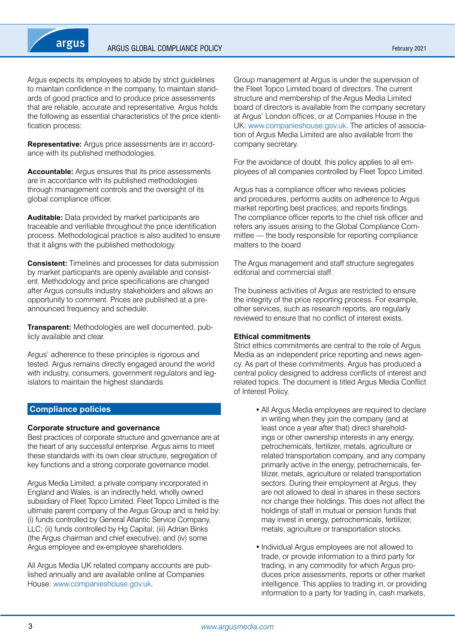

Argus expects its employees to abide by strict guidelines to maintain confidence in the company, to maintain standards of good practice and to produce price assessments that are reliable, accurate and representative. Argus holds the following as essential characteristics of the price identification process:

**Representative:** Argus price assessments are in accordance with its published methodologies.

**Accountable:** Argus ensures that its price assessments are in accordance with its published methodologies through management controls and the oversight of its global compliance officer.

**Auditable:** Data provided by market participants are traceable and verifiable throughout the price identification process. Methodological practice is also audited to ensure that it aligns with the published methodology.

**Consistent:** Timelines and processes for data submission by market participants are openly available and consistent. Methodology and price specifications are changed after Argus consults industry stakeholders and allows an opportunity to comment. Prices are published at a preannounced frequency and schedule.

**Transparent:** Methodologies are well documented, publicly available and clear.

Argus' adherence to these principles is rigorous and tested. Argus remains directly engaged around the world with industry, consumers, government regulators and legislators to maintain the highest standards.

# **Compliance policies**

#### **Corporate structure and governance**

Best practices of corporate structure and governance are at the heart of any successful enterprise. Argus aims to meet these standards with its own clear structure, segregation of key functions and a strong corporate governance model.

Argus Media Limited, a private company incorporated in England and Wales, is an indirectly held, wholly owned subsidiary of Fleet Topco Limited. Fleet Topco Limited is the ultimate parent company of the Argus Group and is held by: (i) funds controlled by General Atlantic Service Company, LLC; (ii) funds controlled by Hg Capital; (iii) Adrian Binks (the Argus chairman and chief executive); and (iv) some Argus employee and ex-employee shareholders.

All Argus Media UK related company accounts are published annually and are available online at Companies House: www.companieshouse.gov.uk.

Group management at Argus is under the supervision of the Fleet Topco Limited board of directors. The current structure and membership of the Argus Media Limited board of directors is available from the company secretary at Argus' London offices, or at Companies House in the UK: www.companieshouse.gov.uk. The articles of association of Argus Media Limited are also available from the company secretary.

For the avoidance of doubt, this policy applies to all employees of all companies controlled by Fleet Topco Limited.

Argus has a compliance officer who reviews policies and procedures, performs audits on adherence to Argus market reporting best practices, and reports findings. The compliance officer reports to the chief risk officer and refers any issues arising to the Global Compliance Committee — the body responsible for reporting compliance matters to the board

The Argus management and staff structure segregates editorial and commercial staff.

The business activities of Argus are restricted to ensure the integrity of the price reporting process. For example, other services, such as research reports, are regularly reviewed to ensure that no conflict of interest exists.

#### **Ethical commitments**

Strict ethics commitments are central to the role of Argus Media as an independent price reporting and news agency. As part of these commitments, Argus has produced a central policy designed to address conflicts of interest and related topics. The document is titled Argus Media Conflict of Interest Policy.

- All Argus Media employees are required to declare in writing when they join the company (and at least once a year after that) direct shareholdings or other ownership interests in any energy, petrochemicals, fertilizer, metals, agriculture or related transportation company, and any company primarily active in the energy, petrochemicals, fertilizer, metals, agriculture or related transportation sectors. During their employment at Argus, they are not allowed to deal in shares in these sectors nor change their holdings. This does not affect the holdings of staff in mutual or pension funds that may invest in energy, petrochemicals, fertilizer, metals, agriculture or transportation stocks.
- Individual Argus employees are not allowed to trade, or provide information to a third party for trading, in any commodity for which Argus produces price assessments, reports or other market intelligence. This applies to trading in, or providing information to a party for trading in, cash markets,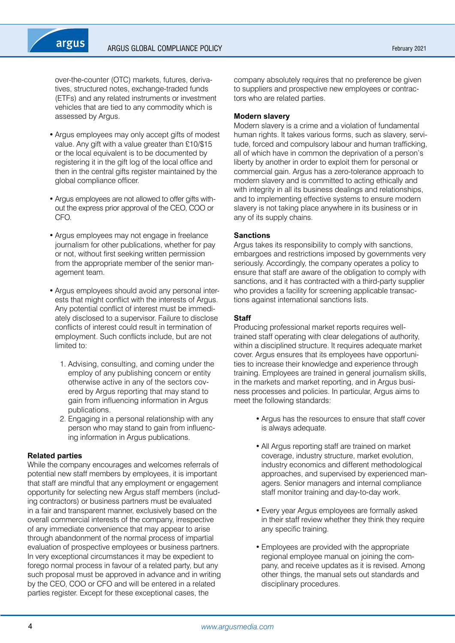

over-the-counter (OTC) markets, futures, derivatives, structured notes, exchange-traded funds (ETFs) and any related instruments or investment vehicles that are tied to any commodity which is assessed by Argus.

- Argus employees may only accept gifts of modest value. Any gift with a value greater than £10/\$15 or the local equivalent is to be documented by registering it in the gift log of the local office and then in the central gifts register maintained by the global compliance officer.
- Argus employees are not allowed to offer gifts without the express prior approval of the CEO, COO or CFO.
- Argus employees may not engage in freelance journalism for other publications, whether for pay or not, without first seeking written permission from the appropriate member of the senior management team.
- Argus employees should avoid any personal interests that might conflict with the interests of Argus. Any potential conflict of interest must be immediately disclosed to a supervisor. Failure to disclose conflicts of interest could result in termination of employment. Such conflicts include, but are not limited to:
	- 1. Advising, consulting, and coming under the employ of any publishing concern or entity otherwise active in any of the sectors covered by Argus reporting that may stand to gain from influencing information in Argus publications.
	- 2. Engaging in a personal relationship with any person who may stand to gain from influencing information in Argus publications.

#### **Related parties**

While the company encourages and welcomes referrals of potential new staff members by employees, it is important that staff are mindful that any employment or engagement opportunity for selecting new Argus staff members (including contractors) or business partners must be evaluated in a fair and transparent manner, exclusively based on the overall commercial interests of the company, irrespective of any immediate convenience that may appear to arise through abandonment of the normal process of impartial evaluation of prospective employees or business partners. In very exceptional circumstances it may be expedient to forego normal process in favour of a related party, but any such proposal must be approved in advance and in writing by the CEO, COO or CFO and will be entered in a related parties register. Except for these exceptional cases, the

company absolutely requires that no preference be given to suppliers and prospective new employees or contractors who are related parties.

#### **Modern slavery**

Modern slavery is a crime and a violation of fundamental human rights. It takes various forms, such as slavery, servitude, forced and compulsory labour and human trafficking, all of which have in common the deprivation of a person's liberty by another in order to exploit them for personal or commercial gain. Argus has a zero-tolerance approach to modern slavery and is committed to acting ethically and with integrity in all its business dealings and relationships, and to implementing effective systems to ensure modern slavery is not taking place anywhere in its business or in any of its supply chains.

#### **Sanctions**

Argus takes its responsibility to comply with sanctions, embargoes and restrictions imposed by governments very seriously. Accordingly, the company operates a policy to ensure that staff are aware of the obligation to comply with sanctions, and it has contracted with a third-party supplier who provides a facility for screening applicable transactions against international sanctions lists.

#### **Staff**

Producing professional market reports requires welltrained staff operating with clear delegations of authority, within a disciplined structure. It requires adequate market cover. Argus ensures that its employees have opportunities to increase their knowledge and experience through training. Employees are trained in general journalism skills, in the markets and market reporting, and in Argus business processes and policies. In particular, Argus aims to meet the following standards:

- Argus has the resources to ensure that staff cover is always adequate.
- All Argus reporting staff are trained on market coverage, industry structure, market evolution, industry economics and different methodological approaches, and supervised by experienced managers. Senior managers and internal compliance staff monitor training and day-to-day work.
- Every year Argus employees are formally asked in their staff review whether they think they require any specific training.
- Employees are provided with the appropriate regional employee manual on joining the company, and receive updates as it is revised. Among other things, the manual sets out standards and disciplinary procedures.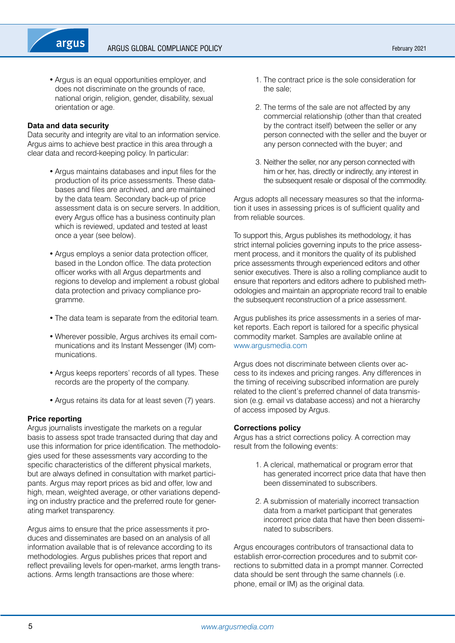• Argus is an equal opportunities employer, and does not discriminate on the grounds of race, national origin, religion, gender, disability, sexual orientation or age.

#### **Data and data security**

Data security and integrity are vital to an information service. Argus aims to achieve best practice in this area through a clear data and record-keeping policy. In particular:

- Argus maintains databases and input files for the production of its price assessments. These databases and files are archived, and are maintained by the data team. Secondary back-up of price assessment data is on secure servers. In addition, every Argus office has a business continuity plan which is reviewed, updated and tested at least once a year (see below).
- Argus employs a senior data protection officer, based in the London office. The data protection officer works with all Argus departments and regions to develop and implement a robust global data protection and privacy compliance programme.
- The data team is separate from the editorial team.
- Wherever possible, Argus archives its email communications and its Instant Messenger (IM) communications.
- Argus keeps reporters' records of all types. These records are the property of the company.
- Argus retains its data for at least seven (7) years.

#### **Price reporting**

Argus journalists investigate the markets on a regular basis to assess spot trade transacted during that day and use this information for price identification. The methodologies used for these assessments vary according to the specific characteristics of the different physical markets, but are always defined in consultation with market participants. Argus may report prices as bid and offer, low and high, mean, weighted average, or other variations depending on industry practice and the preferred route for generating market transparency.

Argus aims to ensure that the price assessments it produces and disseminates are based on an analysis of all information available that is of relevance according to its methodologies. Argus publishes prices that report and reflect prevailing levels for open-market, arms length transactions. Arms length transactions are those where:

- 1. The contract price is the sole consideration for the sale;
- 2. The terms of the sale are not affected by any commercial relationship (other than that created by the contract itself) between the seller or any person connected with the seller and the buyer or any person connected with the buyer; and
- 3. Neither the seller, nor any person connected with him or her, has, directly or indirectly, any interest in the subsequent resale or disposal of the commodity.

Argus adopts all necessary measures so that the information it uses in assessing prices is of sufficient quality and from reliable sources.

To support this, Argus publishes its methodology, it has strict internal policies governing inputs to the price assessment process, and it monitors the quality of its published price assessments through experienced editors and other senior executives. There is also a rolling compliance audit to ensure that reporters and editors adhere to published methodologies and maintain an appropriate record trail to enable the subsequent reconstruction of a price assessment.

Argus publishes its price assessments in a series of market reports. Each report is tailored for a specific physical commodity market. Samples are available online at <www.argusmedia.com>

Argus does not discriminate between clients over access to its indexes and pricing ranges. Any differences in the timing of receiving subscribed information are purely related to the client's preferred channel of data transmission (e.g. email vs database access) and not a hierarchy of access imposed by Argus.

#### **Corrections policy**

Argus has a strict corrections policy. A correction may result from the following events:

- 1. A clerical, mathematical or program error that has generated incorrect price data that have then been disseminated to subscribers.
- 2. A submission of materially incorrect transaction data from a market participant that generates incorrect price data that have then been disseminated to subscribers.

Argus encourages contributors of transactional data to establish error-correction procedures and to submit corrections to submitted data in a prompt manner. Corrected data should be sent through the same channels (i.e. phone, email or IM) as the original data.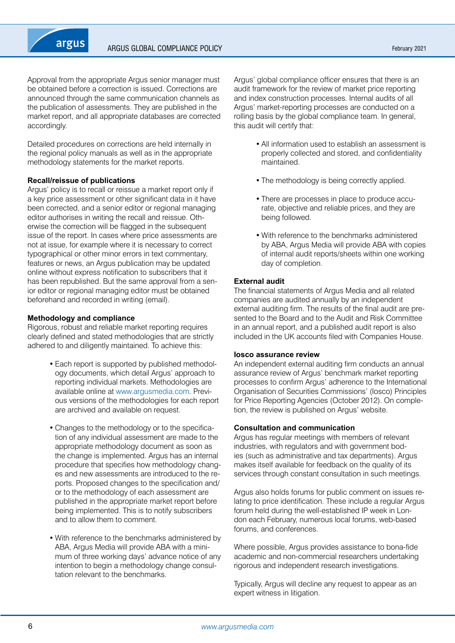

Approval from the appropriate Argus senior manager must be obtained before a correction is issued. Corrections are announced through the same communication channels as the publication of assessments. They are published in the market report, and all appropriate databases are corrected accordingly.

Detailed procedures on corrections are held internally in the regional policy manuals as well as in the appropriate methodology statements for the market reports.

#### **Recall/reissue of publications**

Argus' policy is to recall or reissue a market report only if a key price assessment or other significant data in it have been corrected, and a senior editor or regional managing editor authorises in writing the recall and reissue. Otherwise the correction will be flagged in the subsequent issue of the report. In cases where price assessments are not at issue, for example where it is necessary to correct typographical or other minor errors in text commentary, features or news, an Argus publication may be updated online without express notification to subscribers that it has been republished. But the same approval from a senior editor or regional managing editor must be obtained beforehand and recorded in writing (email).

#### **Methodology and compliance**

Rigorous, robust and reliable market reporting requires clearly defined and stated methodologies that are strictly adhered to and diligently maintained. To achieve this:

- Each report is supported by published methodology documents, which detail Argus' approach to reporting individual markets. Methodologies are available online at [www.argusmedia.com.](http://www.argusmedia.com/) Previous versions of the methodologies for each report are archived and available on request.
- Changes to the methodology or to the specification of any individual assessment are made to the appropriate methodology document as soon as the change is implemented. Argus has an internal procedure that specifies how methodology changes and new assessments are introduced to the reports. Proposed changes to the specification and/ or to the methodology of each assessment are published in the appropriate market report before being implemented. This is to notify subscribers and to allow them to comment.
- With reference to the benchmarks administered by ABA, Argus Media will provide ABA with a minimum of three working days' advance notice of any intention to begin a methodology change consultation relevant to the benchmarks.

Argus' global compliance officer ensures that there is an audit framework for the review of market price reporting and index construction processes. Internal audits of all Argus' market-reporting processes are conducted on a rolling basis by the global compliance team. In general, this audit will certify that:

- All information used to establish an assessment is properly collected and stored, and confidentiality maintained.
- The methodology is being correctly applied.
- There are processes in place to produce accurate, objective and reliable prices, and they are being followed.
- • With reference to the benchmarks administered by ABA, Argus Media will provide ABA with copies of internal audit reports/sheets within one working day of completion.

#### **External audit**

The financial statements of Argus Media and all related companies are audited annually by an independent external auditing firm. The results of the final audit are presented to the Board and to the Audit and Risk Committee in an annual report, and a published audit report is also included in the UK accounts filed with Companies House.

#### **Iosco assurance review**

An independent external auditing firm conducts an annual assurance review of Argus' benchmark market reporting processes to confirm Argus' adherence to the International Organisation of Securities Commissions' (Iosco) Principles for Price Reporting Agencies (October 2012). On completion, the review is published on Argus' website.

#### **Consultation and communication**

Argus has regular meetings with members of relevant industries, with regulators and with government bodies (such as administrative and tax departments). Argus makes itself available for feedback on the quality of its services through constant consultation in such meetings.

Argus also holds forums for public comment on issues relating to price identification. These include a regular Argus forum held during the well-established IP week in London each February, numerous local forums, web-based forums, and conferences.

Where possible, Argus provides assistance to bona-fide academic and non-commercial researchers undertaking rigorous and independent research investigations.

Typically, Argus will decline any request to appear as an expert witness in litigation.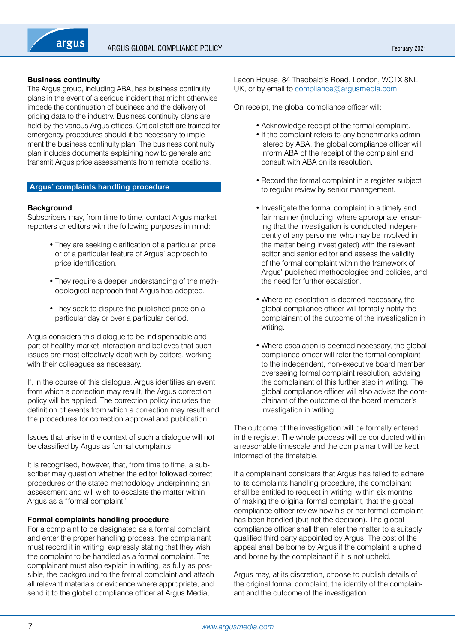# **Business continuity**

The Argus group, including ABA, has business continuity plans in the event of a serious incident that might otherwise impede the continuation of business and the delivery of pricing data to the industry. Business continuity plans are held by the various Argus offices. Critical staff are trained for emergency procedures should it be necessary to implement the business continuity plan. The business continuity plan includes documents explaining how to generate and transmit Argus price assessments from remote locations.

#### **Argus' complaints handling procedure**

#### **Background**

Subscribers may, from time to time, contact Argus market reporters or editors with the following purposes in mind:

- They are seeking clarification of a particular price or of a particular feature of Argus' approach to price identification.
- They require a deeper understanding of the methodological approach that Argus has adopted.
- They seek to dispute the published price on a particular day or over a particular period.

Argus considers this dialogue to be indispensable and part of healthy market interaction and believes that such issues are most effectively dealt with by editors, working with their colleagues as necessary.

If, in the course of this dialogue, Argus identifies an event from which a correction may result, the Argus correction policy will be applied. The correction policy includes the definition of events from which a correction may result and the procedures for correction approval and publication.

Issues that arise in the context of such a dialogue will not be classified by Argus as formal complaints.

It is recognised, however, that, from time to time, a subscriber may question whether the editor followed correct procedures or the stated methodology underpinning an assessment and will wish to escalate the matter within Argus as a "formal complaint".

#### **Formal complaints handling procedure**

For a complaint to be designated as a formal complaint and enter the proper handling process, the complainant must record it in writing, expressly stating that they wish the complaint to be handled as a formal complaint. The complainant must also explain in writing, as fully as possible, the background to the formal complaint and attach all relevant materials or evidence where appropriate, and send it to the global compliance officer at Argus Media,

Lacon House, 84 Theobald's Road, London, WC1X 8NL, UK, or by email to compliance[@argusmedia.com.](http://www.argusmedia.com/)

On receipt, the global compliance officer will:

- Acknowledge receipt of the formal complaint.
- If the complaint refers to any benchmarks administered by ABA, the global compliance officer will inform ABA of the receipt of the complaint and consult with ABA on its resolution.
- Record the formal complaint in a register subject to regular review by senior management.
- Investigate the formal complaint in a timely and fair manner (including, where appropriate, ensuring that the investigation is conducted independently of any personnel who may be involved in the matter being investigated) with the relevant editor and senior editor and assess the validity of the formal complaint within the framework of Argus' published methodologies and policies, and the need for further escalation.
- Where no escalation is deemed necessary, the global compliance officer will formally notify the complainant of the outcome of the investigation in writing.
- Where escalation is deemed necessary, the global compliance officer will refer the formal complaint to the independent, non-executive board member overseeing formal complaint resolution, advising the complainant of this further step in writing. The global compliance officer will also advise the complainant of the outcome of the board member's investigation in writing.

The outcome of the investigation will be formally entered in the register. The whole process will be conducted within a reasonable timescale and the complainant will be kept informed of the timetable.

If a complainant considers that Argus has failed to adhere to its complaints handling procedure, the complainant shall be entitled to request in writing, within six months of making the original formal complaint, that the global compliance officer review how his or her formal complaint has been handled (but not the decision). The global compliance officer shall then refer the matter to a suitably qualified third party appointed by Argus. The cost of the appeal shall be borne by Argus if the complaint is upheld and borne by the complainant if it is not upheld.

Argus may, at its discretion, choose to publish details of the original formal complaint, the identity of the complainant and the outcome of the investigation.